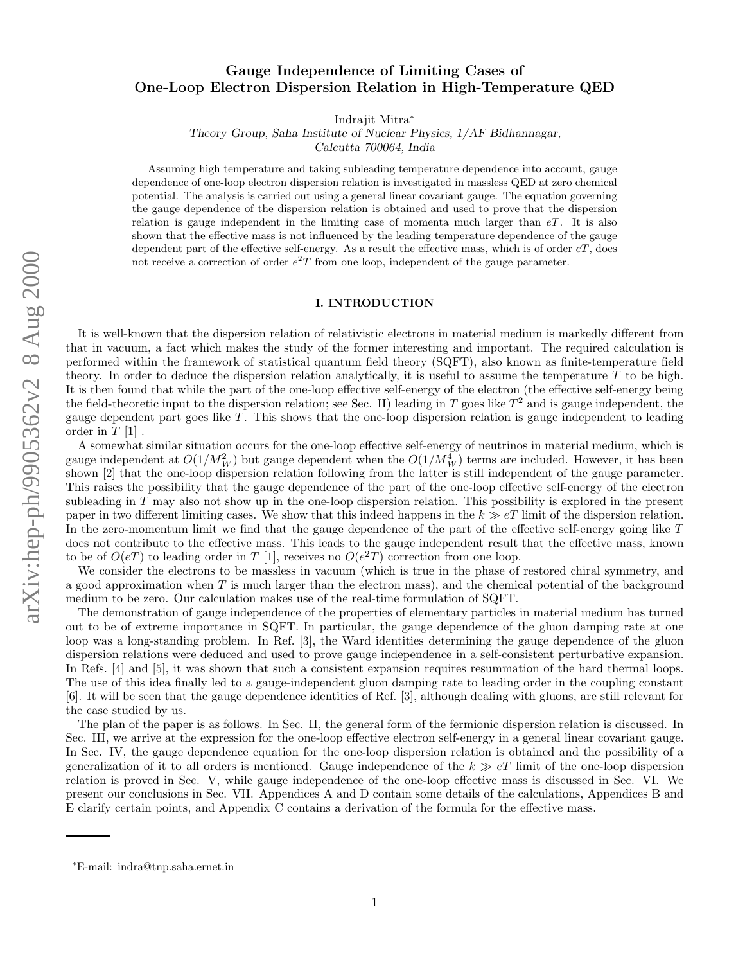# Gauge Independence of Limiting Cases of One-Loop Electron Dispersion Relation in High-Temperature QED

Indrajit Mitra ∗

Theory Group, Saha Institute of Nuclear Physics, 1/AF Bidhannagar,

Calcutta 700064, India

Assuming high temperature and taking subleading temperature dependence into account, gauge dependence of one-loop electron dispersion relation is investigated in massless QED at zero chemical potential. The analysis is carried out using a general linear covariant gauge. The equation governing the gauge dependence of the dispersion relation is obtained and used to prove that the dispersion relation is gauge independent in the limiting case of momenta much larger than  $eT$ . It is also shown that the effective mass is not influenced by the leading temperature dependence of the gauge dependent part of the effective self-energy. As a result the effective mass, which is of order  $eT$ , does not receive a correction of order  $e^2T$  from one loop, independent of the gauge parameter.

# I. INTRODUCTION

It is well-known that the dispersion relation of relativistic electrons in material medium is markedly different from that in vacuum, a fact which makes the study of the former interesting and important. The required calculation is performed within the framework of statistical quantum field theory (SQFT), also known as finite-temperature field theory. In order to deduce the dispersion relation analytically, it is useful to assume the temperature  $T$  to be high. It is then found that while the part of the one-loop effective self-energy of the electron (the effective self-energy being the field-theoretic input to the dispersion relation; see Sec. II) leading in T goes like  $T^2$  and is gauge independent, the gauge dependent part goes like  $T$ . This shows that the one-loop dispersion relation is gauge independent to leading order in  $T[1]$ .

A somewhat similar situation occurs for the one-loop effective self-energy of neutrinos in material medium, which is gauge independent at  $O(1/M_W^2)$  but gauge dependent when the  $O(1/M_W^4)$  terms are included. However, it has been shown [2] that the one-loop dispersion relation following from the latter is still independent of the gauge parameter. This raises the possibility that the gauge dependence of the part of the one-loop effective self-energy of the electron subleading in T may also not show up in the one-loop dispersion relation. This possibility is explored in the present paper in two different limiting cases. We show that this indeed happens in the  $k \gg eT$  limit of the dispersion relation. In the zero-momentum limit we find that the gauge dependence of the part of the effective self-energy going like T does not contribute to the effective mass. This leads to the gauge independent result that the effective mass, known to be of  $O(eT)$  to leading order in T [1], receives no  $O(e^2T)$  correction from one loop.

We consider the electrons to be massless in vacuum (which is true in the phase of restored chiral symmetry, and a good approximation when T is much larger than the electron mass), and the chemical potential of the background medium to be zero. Our calculation makes use of the real-time formulation of SQFT.

The demonstration of gauge independence of the properties of elementary particles in material medium has turned out to be of extreme importance in SQFT. In particular, the gauge dependence of the gluon damping rate at one loop was a long-standing problem. In Ref. [3], the Ward identities determining the gauge dependence of the gluon dispersion relations were deduced and used to prove gauge independence in a self-consistent perturbative expansion. In Refs. [4] and [5], it was shown that such a consistent expansion requires resummation of the hard thermal loops. The use of this idea finally led to a gauge-independent gluon damping rate to leading order in the coupling constant [6]. It will be seen that the gauge dependence identities of Ref. [3], although dealing with gluons, are still relevant for the case studied by us.

The plan of the paper is as follows. In Sec. II, the general form of the fermionic dispersion relation is discussed. In Sec. III, we arrive at the expression for the one-loop effective electron self-energy in a general linear covariant gauge. In Sec. IV, the gauge dependence equation for the one-loop dispersion relation is obtained and the possibility of a generalization of it to all orders is mentioned. Gauge independence of the  $k \gg eT$  limit of the one-loop dispersion relation is proved in Sec. V, while gauge independence of the one-loop effective mass is discussed in Sec. VI. We present our conclusions in Sec. VII. Appendices A and D contain some details of the calculations, Appendices B and E clarify certain points, and Appendix C contains a derivation of the formula for the effective mass.

<sup>∗</sup>E-mail: indra@tnp.saha.ernet.in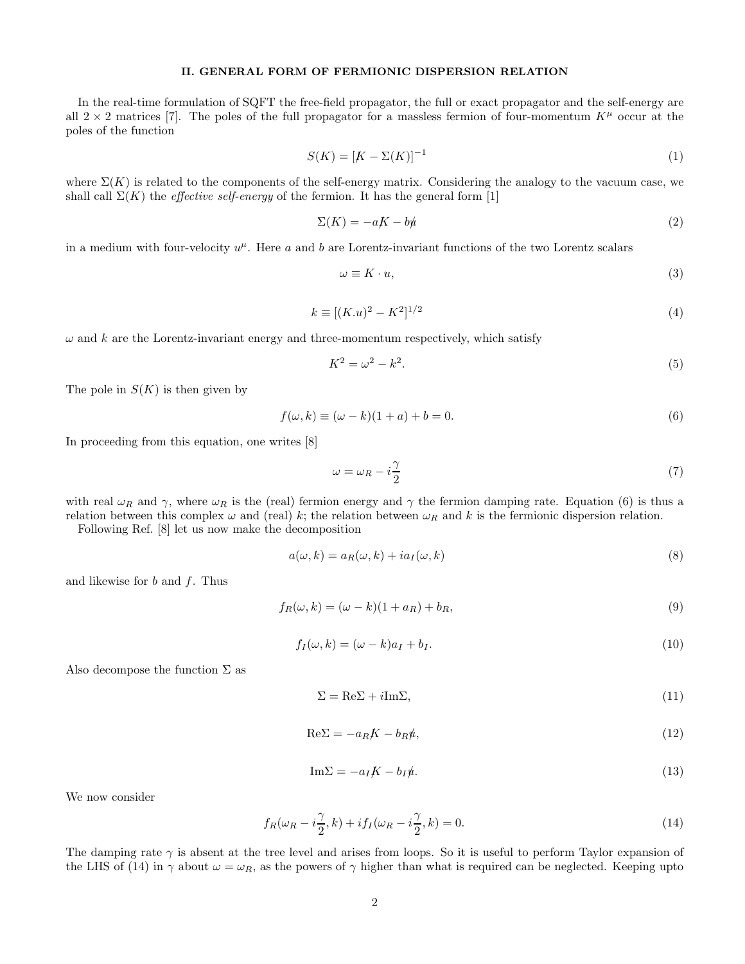### II. GENERAL FORM OF FERMIONIC DISPERSION RELATION

In the real-time formulation of SQFT the free-field propagator, the full or exact propagator and the self-energy are all  $2 \times 2$  matrices [7]. The poles of the full propagator for a massless fermion of four-momentum  $K^{\mu}$  occur at the poles of the function

$$
S(K) = [K - \Sigma(K)]^{-1}
$$
 (1)

where  $\Sigma(K)$  is related to the components of the self-energy matrix. Considering the analogy to the vacuum case, we shall call  $\Sigma(K)$  the *effective self-energy* of the fermion. It has the general form [1]

$$
\Sigma(K) = -aK - b\psi \tag{2}
$$

in a medium with four-velocity  $u^{\mu}$ . Here a and b are Lorentz-invariant functions of the two Lorentz scalars

$$
\omega \equiv K \cdot u,\tag{3}
$$

$$
k \equiv [(K.u)^2 - K^2]^{1/2} \tag{4}
$$

 $\omega$  and k are the Lorentz-invariant energy and three-momentum respectively, which satisfy

$$
K^2 = \omega^2 - k^2. \tag{5}
$$

The pole in  $S(K)$  is then given by

$$
f(\omega, k) \equiv (\omega - k)(1 + a) + b = 0.
$$
\n(6)

In proceeding from this equation, one writes [8]

$$
\omega = \omega_R - i\frac{\gamma}{2} \tag{7}
$$

with real  $\omega_R$  and  $\gamma$ , where  $\omega_R$  is the (real) fermion energy and  $\gamma$  the fermion damping rate. Equation (6) is thus a relation between this complex  $\omega$  and (real) k; the relation between  $\omega_R$  and k is the fermionic dispersion relation.

Following Ref. [8] let us now make the decomposition

$$
a(\omega, k) = a_R(\omega, k) + ia_I(\omega, k)
$$
\n(8)

and likewise for  $b$  and  $f$ . Thus

$$
f_R(\omega, k) = (\omega - k)(1 + a_R) + b_R,
$$
\n(9)

$$
f_I(\omega, k) = (\omega - k)a_I + b_I.
$$
\n(10)

Also decompose the function  $\Sigma$  as

$$
\Sigma = \text{Re}\Sigma + i\text{Im}\Sigma,\tag{11}
$$

$$
Re\Sigma = -a_R K - b_R \mu, \qquad (12)
$$

$$
\mathrm{Im}\Sigma = -a_I K - b_I \psi. \tag{13}
$$

We now consider

$$
f_R(\omega_R - i\frac{\gamma}{2}, k) + if_I(\omega_R - i\frac{\gamma}{2}, k) = 0.
$$
\n(14)

The damping rate  $\gamma$  is absent at the tree level and arises from loops. So it is useful to perform Taylor expansion of the LHS of (14) in  $\gamma$  about  $\omega = \omega_R$ , as the powers of  $\gamma$  higher than what is required can be neglected. Keeping upto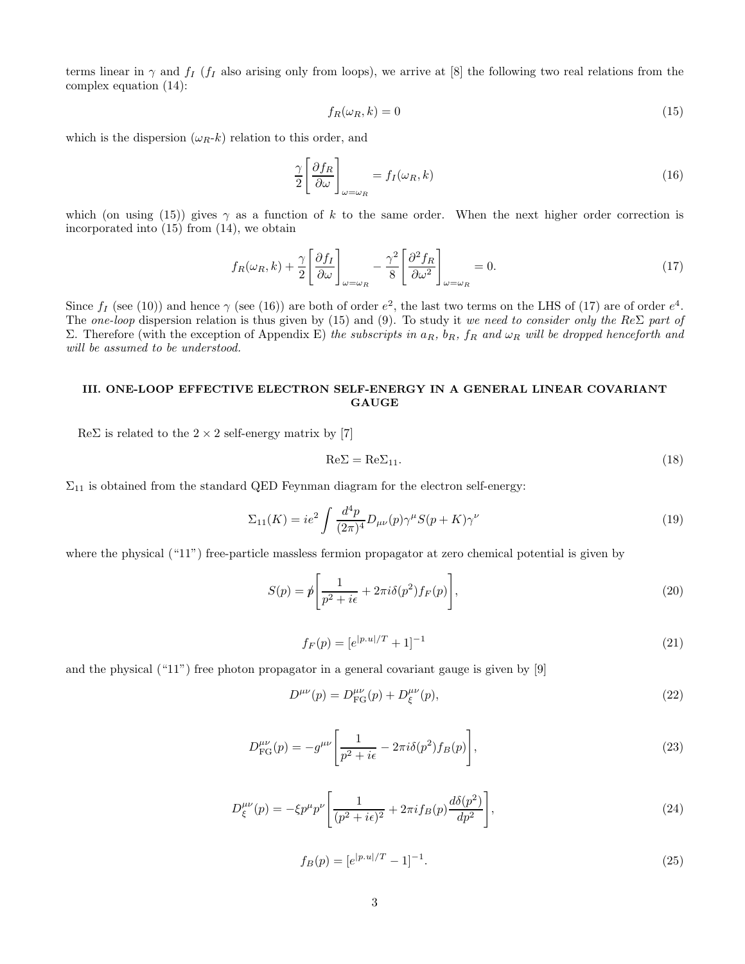terms linear in  $\gamma$  and  $f_I$  ( $f_I$  also arising only from loops), we arrive at [8] the following two real relations from the complex equation (14):

$$
f_R(\omega_R, k) = 0 \tag{15}
$$

which is the dispersion  $(\omega_R-k)$  relation to this order, and

$$
\frac{\gamma}{2} \left[ \frac{\partial f_R}{\partial \omega} \right]_{\omega = \omega_R} = f_I(\omega_R, k) \tag{16}
$$

which (on using (15)) gives  $\gamma$  as a function of k to the same order. When the next higher order correction is incorporated into (15) from (14), we obtain

$$
f_R(\omega_R, k) + \frac{\gamma}{2} \left[ \frac{\partial f_I}{\partial \omega} \right]_{\omega = \omega_R} - \frac{\gamma^2}{8} \left[ \frac{\partial^2 f_R}{\partial \omega^2} \right]_{\omega = \omega_R} = 0. \tag{17}
$$

Since  $f_I$  (see (10)) and hence  $\gamma$  (see (16)) are both of order  $e^2$ , the last two terms on the LHS of (17) are of order  $e^4$ . The one-loop dispersion relation is thus given by (15) and (9). To study it we need to consider only the Re $\Sigma$  part of Σ. Therefore (with the exception of Appendix E) the subscripts in  $a_R$ ,  $b_R$ ,  $f_R$  and  $ω_R$  will be dropped henceforth and will be assumed to be understood.

# III. ONE-LOOP EFFECTIVE ELECTRON SELF-ENERGY IN A GENERAL LINEAR COVARIANT **GAUGE**

 $Re\Sigma$  is related to the 2 × 2 self-energy matrix by [7]

$$
Re\Sigma = Re\Sigma_{11}.
$$
\n(18)

 $\Sigma_{11}$  is obtained from the standard QED Feynman diagram for the electron self-energy:

$$
\Sigma_{11}(K) = ie^2 \int \frac{d^4 p}{(2\pi)^4} D_{\mu\nu}(p) \gamma^{\mu} S(p+K) \gamma^{\nu}
$$
\n(19)

where the physical ("11") free-particle massless fermion propagator at zero chemical potential is given by

$$
S(p) = p \left[ \frac{1}{p^2 + i\epsilon} + 2\pi i \delta(p^2) f_F(p) \right],
$$
\n(20)

$$
f_F(p) = [e^{|p.u|/T} + 1]^{-1}
$$
\n(21)

and the physical ("11") free photon propagator in a general covariant gauge is given by [9]

$$
D^{\mu\nu}(p) = D_{\text{FG}}^{\mu\nu}(p) + D_{\xi}^{\mu\nu}(p),\tag{22}
$$

$$
D_{\text{FG}}^{\mu\nu}(p) = -g^{\mu\nu} \left[ \frac{1}{p^2 + i\epsilon} - 2\pi i \delta(p^2) f_B(p) \right],\tag{23}
$$

$$
D_{\xi}^{\mu\nu}(p) = -\xi p^{\mu} p^{\nu} \left[ \frac{1}{(p^2 + i\epsilon)^2} + 2\pi i f_B(p) \frac{d\delta(p^2)}{dp^2} \right],
$$
\n(24)

$$
f_B(p) = [e^{|p.u|/T} - 1]^{-1}.
$$
\n(25)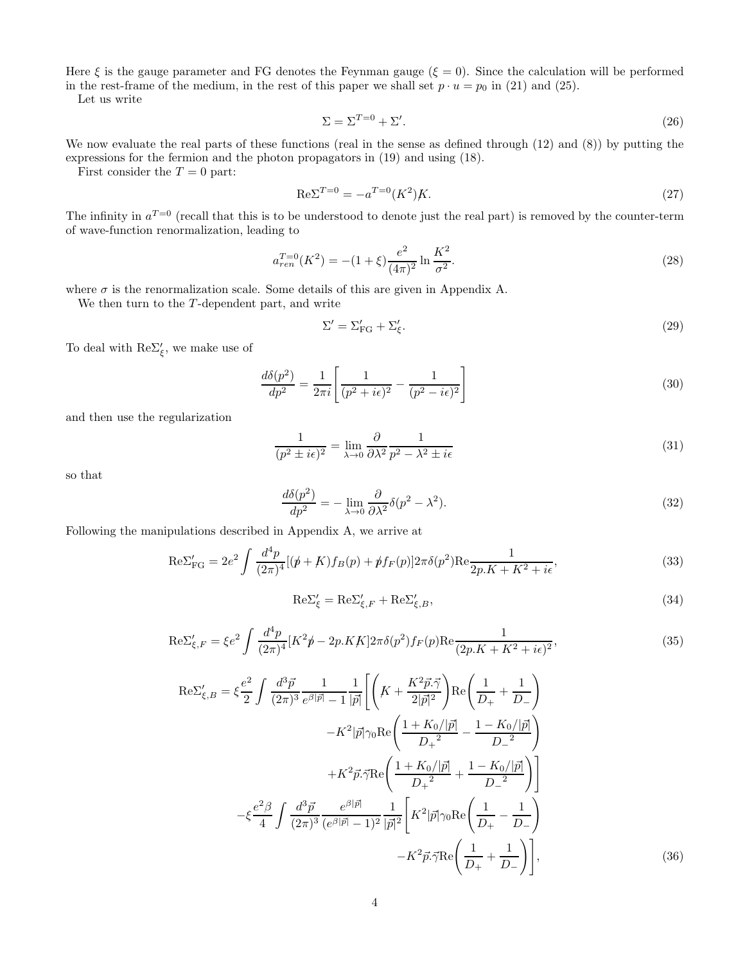Here  $\xi$  is the gauge parameter and FG denotes the Feynman gauge ( $\xi = 0$ ). Since the calculation will be performed in the rest-frame of the medium, in the rest of this paper we shall set  $p \cdot u = p_0$  in (21) and (25).

Let us write

$$
\Sigma = \Sigma^{T=0} + \Sigma'.\tag{26}
$$

We now evaluate the real parts of these functions (real in the sense as defined through (12) and (8)) by putting the expressions for the fermion and the photon propagators in (19) and using (18).

First consider the  $T = 0$  part:

$$
Re\Sigma^{T=0} = -a^{T=0}(K^2)K.
$$
\n(27)

The infinity in  $a^{T=0}$  (recall that this is to be understood to denote just the real part) is removed by the counter-term of wave-function renormalization, leading to

$$
a_{ren}^{T=0}(K^2) = -(1+\xi)\frac{e^2}{(4\pi)^2}\ln\frac{K^2}{\sigma^2}.
$$
\n(28)

where  $\sigma$  is the renormalization scale. Some details of this are given in Appendix A.

We then turn to the  $T$ -dependent part, and write

$$
\Sigma' = \Sigma'_{FG} + \Sigma'_{\xi}.\tag{29}
$$

To deal with  $\text{Re}\Sigma'_{\xi}$ , we make use of

$$
\frac{d\delta(p^2)}{dp^2} = \frac{1}{2\pi i} \left[ \frac{1}{(p^2 + i\epsilon)^2} - \frac{1}{(p^2 - i\epsilon)^2} \right] \tag{30}
$$

and then use the regularization

$$
\frac{1}{(p^2 \pm i\epsilon)^2} = \lim_{\lambda \to 0} \frac{\partial}{\partial \lambda^2} \frac{1}{p^2 - \lambda^2 \pm i\epsilon}
$$
(31)

so that

$$
\frac{d\delta(p^2)}{dp^2} = -\lim_{\lambda \to 0} \frac{\partial}{\partial \lambda^2} \delta(p^2 - \lambda^2). \tag{32}
$$

Following the manipulations described in Appendix A, we arrive at

$$
\text{Re}\Sigma'_{\text{FG}} = 2e^2 \int \frac{d^4p}{(2\pi)^4} [(\dot{p} + K)f_B(p) + \dot{p}f_F(p)] 2\pi \delta(p^2) \text{Re}\frac{1}{2p.K + K^2 + i\epsilon},\tag{33}
$$

$$
\text{Re}\Sigma_{\xi}' = \text{Re}\Sigma_{\xi,F}' + \text{Re}\Sigma_{\xi,B}',\tag{34}
$$

$$
\text{Re}\Sigma'_{\xi,F} = \xi e^2 \int \frac{d^4p}{(2\pi)^4} [K^2p - 2p.KK] 2\pi \delta(p^2) f_F(p) \text{Re}\frac{1}{(2p.K + K^2 + i\epsilon)^2},\tag{35}
$$

$$
\text{Re}\Sigma'_{\xi,B} = \xi \frac{e^2}{2} \int \frac{d^3 \vec{p}}{(2\pi)^3} \frac{1}{e^{\beta|\vec{p}|} - 1} \frac{1}{|\vec{p}|} \left[ \left( K + \frac{K^2 \vec{p} \cdot \vec{\gamma}}{2|\vec{p}|^2} \right) \text{Re} \left( \frac{1}{D_+} + \frac{1}{D_-} \right) \right. \\
\left. - K^2 |\vec{p}| \gamma_0 \text{Re} \left( \frac{1 + K_0/|\vec{p}|}{D_+^2} - \frac{1 - K_0/|\vec{p}|}{D_-^2} \right) \right. \\
\left. + K^2 \vec{p} \cdot \vec{\gamma} \text{Re} \left( \frac{1 + K_0/|\vec{p}|}{D_+^2} + \frac{1 - K_0/|\vec{p}|}{D_-^2} \right) \right] \\
\left. - \xi \frac{e^2 \beta}{4} \int \frac{d^3 \vec{p}}{(2\pi)^3} \frac{e^{\beta|\vec{p}|} - 1}{(e^{\beta|\vec{p}|} - 1)^2} \frac{1}{|\vec{p}|^2} \left[ K^2 |\vec{p}| \gamma_0 \text{Re} \left( \frac{1}{D_+} - \frac{1}{D_-} \right) \right. \\
\left. - K^2 \vec{p} \cdot \vec{\gamma} \text{Re} \left( \frac{1}{D_+} + \frac{1}{D_-} \right) \right],
$$
\n(36)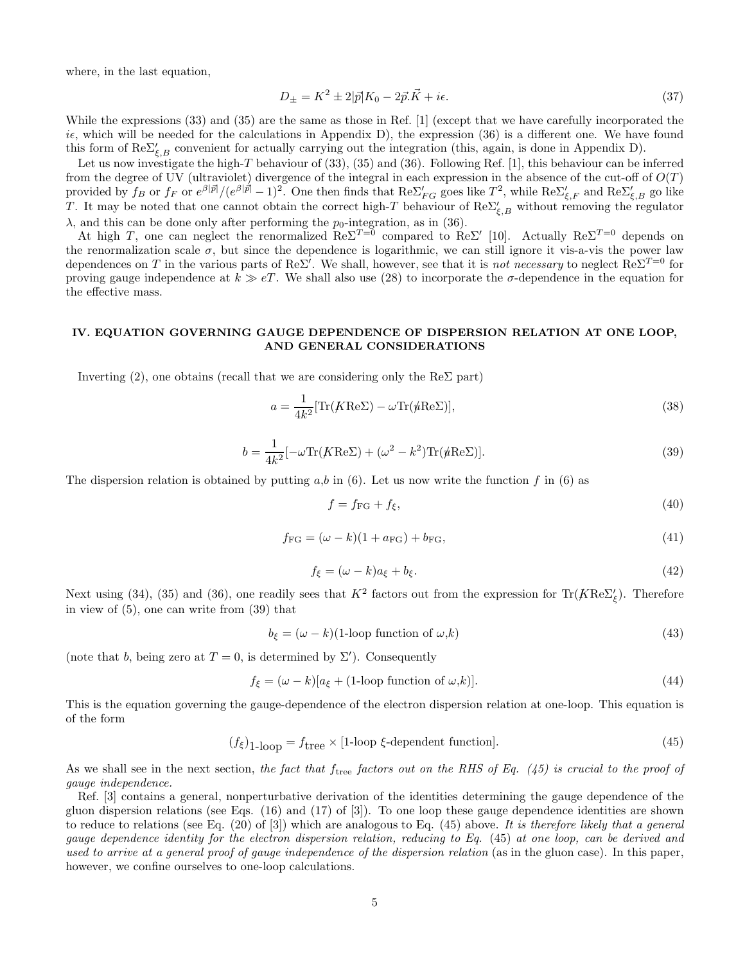where, in the last equation,

$$
D_{\pm} = K^2 \pm 2|\vec{p}|K_0 - 2\vec{p}.\vec{K} + i\epsilon. \tag{37}
$$

While the expressions (33) and (35) are the same as those in Ref. [1] (except that we have carefully incorporated the ie, which will be needed for the calculations in Appendix D), the expression (36) is a different one. We have found this form of  $\text{Re}\Sigma'_{\xi,B}$  convenient for actually carrying out the integration (this, again, is done in Appendix D).

Let us now investigate the high-T behaviour of (33), (35) and (36). Following Ref. [1], this behaviour can be inferred from the degree of UV (ultraviolet) divergence of the integral in each expression in the absence of the cut-off of  $O(T)$ provided by  $f_B$  or  $f_F$  or  $e^{\beta |\vec{p}|}/(e^{\beta |\vec{p}|}-1)^2$ . One then finds that  $\text{Re}\Sigma'_{FG}$  goes like  $T^2$ , while  $\text{Re}\Sigma'_{\xi,F}$  and  $\text{Re}\Sigma'_{\xi,B}$  go like T. It may be noted that one cannot obtain the correct high-T behaviour of  $\text{Re}\Sigma'_{\xi,B}$  without removing the regulator  $\lambda$ , and this can be done only after performing the  $p_0$ -integration, as in (36).

At high T, one can neglect the renormalized  $\text{Re}\Sigma^{T=0}$  compared to  $\text{Re}\Sigma'$  [10]. Actually  $\text{Re}\Sigma^{T=0}$  depends on the renormalization scale  $\sigma$ , but since the dependence is logarithmic, we can still ignore it vis-a-vis the power law dependences on T in the various parts of Re $\Sigma'$ . We shall, however, see that it is not necessary to neglect Re $\Sigma^{T=0}$  for proving gauge independence at  $k \gg eT$ . We shall also use (28) to incorporate the  $\sigma$ -dependence in the equation for the effective mass.

## IV. EQUATION GOVERNING GAUGE DEPENDENCE OF DISPERSION RELATION AT ONE LOOP, AND GENERAL CONSIDERATIONS

Inverting (2), one obtains (recall that we are considering only the  $\text{Re}\Sigma$  part)

$$
a = \frac{1}{4k^2} [\text{Tr}(K \text{Re}\Sigma) - \omega \text{Tr}(\text{\textit{\#}} \text{Re}\Sigma)],\tag{38}
$$

$$
b = \frac{1}{4k^2} [-\omega \text{Tr}(K \text{Re}\Sigma) + (\omega^2 - k^2) \text{Tr}(\psi \text{Re}\Sigma)].
$$
\n(39)

The dispersion relation is obtained by putting  $a,b$  in (6). Let us now write the function f in (6) as

$$
f = f_{\rm FG} + f_{\xi},\tag{40}
$$

$$
f_{\rm FG} = (\omega - k)(1 + a_{\rm FG}) + b_{\rm FG},\tag{41}
$$

$$
f_{\xi} = (\omega - k)a_{\xi} + b_{\xi}.
$$
\n<sup>(42)</sup>

Next using (34), (35) and (36), one readily sees that  $K^2$  factors out from the expression for  $\text{Tr}(K \text{Re} \Sigma_{\xi}')$ . Therefore in view of (5), one can write from (39) that

$$
b_{\xi} = (\omega - k)(1\text{-loop function of }\omega, k) \tag{43}
$$

(note that b, being zero at  $T=0$ , is determined by  $\Sigma'$ ). Consequently

$$
f_{\xi} = (\omega - k)[a_{\xi} + (1\text{-loop function of }\omega, k)].
$$
\n(44)

This is the equation governing the gauge-dependence of the electron dispersion relation at one-loop. This equation is of the form

$$
(f_{\xi})_{1\text{-loop}} = f_{\text{tree}} \times [1\text{-loop } \xi\text{-dependent function}]. \tag{45}
$$

As we shall see in the next section, the fact that f<sub>tree</sub> factors out on the RHS of Eq. (45) is crucial to the proof of gauge independence.

Ref. [3] contains a general, nonperturbative derivation of the identities determining the gauge dependence of the gluon dispersion relations (see Eqs. (16) and (17) of [3]). To one loop these gauge dependence identities are shown to reduce to relations (see Eq.  $(20)$  of [3]) which are analogous to Eq.  $(45)$  above. It is therefore likely that a general gauge dependence identity for the electron dispersion relation, reducing to Eq. (45) at one loop, can be derived and used to arrive at a general proof of gauge independence of the dispersion relation (as in the gluon case). In this paper, however, we confine ourselves to one-loop calculations.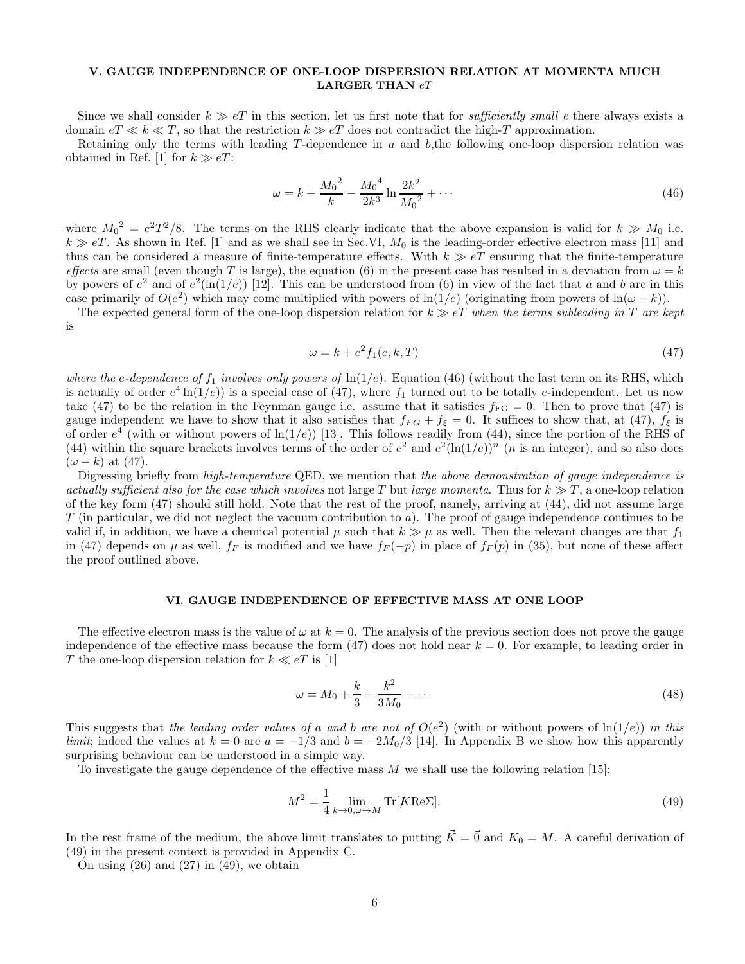# V. GAUGE INDEPENDENCE OF ONE-LOOP DISPERSION RELATION AT MOMENTA MUCH LARGER THAN  $eT$

Since we shall consider  $k \gg eT$  in this section, let us first note that for *sufficiently small e* there always exists a domain  $e \in \mathcal{F} \ll k \ll T$ , so that the restriction  $k \gg e \mathcal{T}$  does not contradict the high-T approximation.

Retaining only the terms with leading T -dependence in a and b,the following one-loop dispersion relation was obtained in Ref. [1] for  $k \gg eT$ :

$$
\omega = k + \frac{M_0^2}{k} - \frac{M_0^4}{2k^3} \ln \frac{2k^2}{M_0^2} + \dots \tag{46}
$$

where  $M_0^2 = e^2T^2/8$ . The terms on the RHS clearly indicate that the above expansion is valid for  $k \gg M_0$  i.e.  $k \gg eT$ . As shown in Ref. [1] and as we shall see in Sec.VI,  $M_0$  is the leading-order effective electron mass [11] and thus can be considered a measure of finite-temperature effects. With  $k \gg eT$  ensuring that the finite-temperature effects are small (even though T is large), the equation (6) in the present case has resulted in a deviation from  $\omega = k$ by powers of  $e^2$  and of  $e^2(\ln(1/e))$  [12]. This can be understood from (6) in view of the fact that a and b are in this case primarily of  $O(e^2)$  which may come multiplied with powers of ln(1/e) (originating from powers of ln( $\omega - k$ )).

The expected general form of the one-loop dispersion relation for  $k \gg eT$  when the terms subleading in T are kept is

$$
\omega = k + e^2 f_1(e, k, T) \tag{47}
$$

where the e-dependence of  $f_1$  involves only powers of  $\ln(1/e)$ . Equation (46) (without the last term on its RHS, which is actually of order  $e^4 \ln(1/e)$  is a special case of (47), where  $f_1$  turned out to be totally e-independent. Let us now take (47) to be the relation in the Feynman gauge i.e. assume that it satisfies  $f_{FG} = 0$ . Then to prove that (47) is gauge independent we have to show that it also satisfies that  $f_{FG} + f_{\xi} = 0$ . It suffices to show that, at (47),  $f_{\xi}$  is of order  $e^4$  (with or without powers of  $\ln(1/e)$ ) [13]. This follows readily from (44), since the portion of the RHS of (44) within the square brackets involves terms of the order of  $e^2$  and  $e^2(\ln(1/e))^n$  (*n* is an integer), and so also does  $(\omega - k)$  at (47).

Digressing briefly from high-temperature QED, we mention that the above demonstration of gauge independence is actually sufficient also for the case which involves not large T but large momenta. Thus for  $k \gg T$ , a one-loop relation of the key form (47) should still hold. Note that the rest of the proof, namely, arriving at (44), did not assume large  $T$  (in particular, we did not neglect the vacuum contribution to a). The proof of gauge independence continues to be valid if, in addition, we have a chemical potential  $\mu$  such that  $k \gg \mu$  as well. Then the relevant changes are that  $f_1$ in (47) depends on  $\mu$  as well,  $f_F$  is modified and we have  $f_F(-p)$  in place of  $f_F(p)$  in (35), but none of these affect the proof outlined above.

### VI. GAUGE INDEPENDENCE OF EFFECTIVE MASS AT ONE LOOP

The effective electron mass is the value of  $\omega$  at  $k = 0$ . The analysis of the previous section does not prove the gauge independence of the effective mass because the form  $(47)$  does not hold near  $k = 0$ . For example, to leading order in  $T$  the one-loop dispersion relation for  $k \ll eT$  is  $[1]$ 

$$
\omega = M_0 + \frac{k}{3} + \frac{k^2}{3M_0} + \dots \tag{48}
$$

This suggests that the leading order values of a and b are not of  $O(e^2)$  (with or without powers of  $\ln(1/e)$ ) in this limit; indeed the values at  $k = 0$  are  $a = -1/3$  and  $b = -2M_0/3$  [14]. In Appendix B we show how this apparently surprising behaviour can be understood in a simple way.

To investigate the gauge dependence of the effective mass M we shall use the following relation [15]:

$$
M^2 = \frac{1}{4} \lim_{k \to 0, \omega \to M} \text{Tr}[K \text{Re}\Sigma]. \tag{49}
$$

In the rest frame of the medium, the above limit translates to putting  $\vec{K} = \vec{0}$  and  $K_0 = M$ . A careful derivation of (49) in the present context is provided in Appendix C.

On using  $(26)$  and  $(27)$  in  $(49)$ , we obtain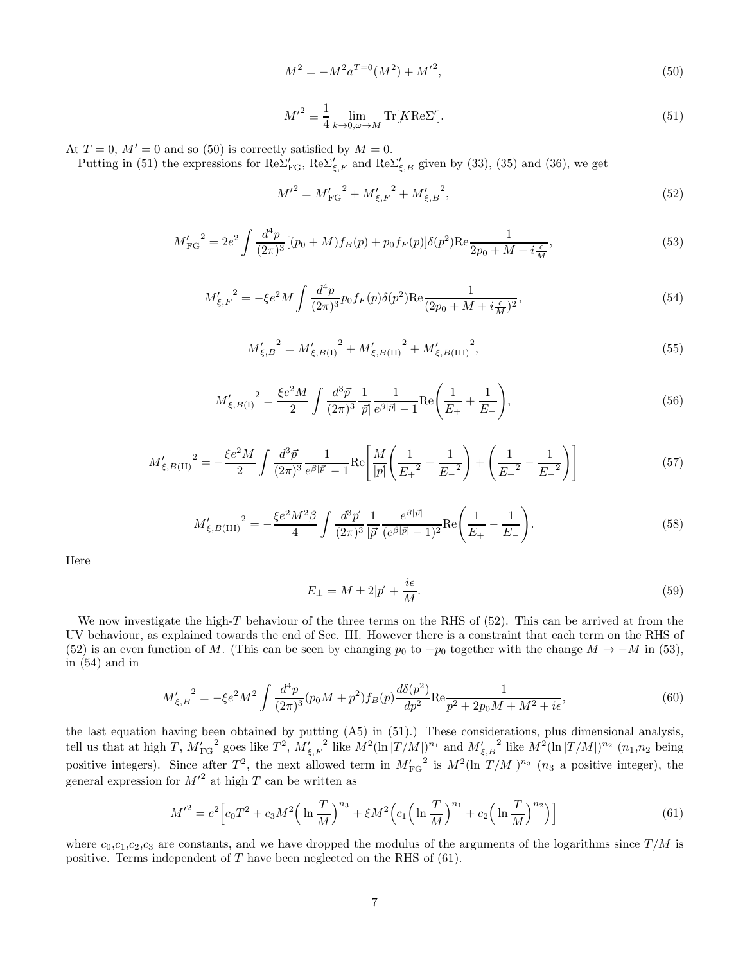$$
M^2 = -M^2 a^{T=0} (M^2) + {M'}^2,
$$
\n(50)

$$
M^{\prime^2} \equiv \frac{1}{4} \lim_{k \to 0, \omega \to M} \text{Tr}[K \text{Re}\Sigma'].
$$
 (51)

At  $T = 0$ ,  $M' = 0$  and so (50) is correctly satisfied by  $M = 0$ .

Putting in (51) the expressions for  $\text{Re}\Sigma'_{\text{FG}}$ ,  $\text{Re}\Sigma'_{\xi,F}$  and  $\text{Re}\Sigma'_{\xi,B}$  given by (33), (35) and (36), we get

$$
{M'}^2 = M'_{\rm FG}^2 + {M'_{\xi,F}}^2 + {M'_{\xi,B}}^2,\tag{52}
$$

$$
M'_{\rm FG}^2 = 2e^2 \int \frac{d^4p}{(2\pi)^3} [(p_0 + M)f_B(p) + p_0 f_F(p)] \delta(p^2) \text{Re} \frac{1}{2p_0 + M + i\frac{\epsilon}{M}},\tag{53}
$$

$$
M'_{\xi,F}^2 = -\xi e^2 M \int \frac{d^4 p}{(2\pi)^3} p_0 f_F(p) \delta(p^2) \text{Re} \frac{1}{(2p_0 + M + i\frac{\epsilon}{M})^2},\tag{54}
$$

$$
M'_{\xi,B}^2 = M'_{\xi,B(1)}^2 + M'_{\xi,B(II)}^2 + M'_{\xi,B(III)}^2,
$$
\n(55)

$$
M'_{\xi,B(1)}^2 = \frac{\xi e^2 M}{2} \int \frac{d^3 \vec{p}}{(2\pi)^3} \frac{1}{|\vec{p}|} \frac{1}{e^{\beta |\vec{p}|} - 1} \text{Re}\left(\frac{1}{E_+} + \frac{1}{E_-}\right),\tag{56}
$$

$$
M'_{\xi,B\text{(II)}}^2 = -\frac{\xi e^2 M}{2} \int \frac{d^3 \vec{p}}{(2\pi)^3} \frac{1}{e^{\beta |\vec{p}|} - 1} \text{Re}\left[\frac{M}{|\vec{p}|}\left(\frac{1}{E_+^2} + \frac{1}{E_-^2}\right) + \left(\frac{1}{E_+^2} - \frac{1}{E_-^2}\right)\right]
$$
(57)

$$
M'_{\xi,B(\text{III})}^2 = -\frac{\xi e^2 M^2 \beta}{4} \int \frac{d^3 \vec{p}}{(2\pi)^3} \frac{1}{|\vec{p}|} \frac{e^{\beta |\vec{p}|}}{(e^{\beta |\vec{p}|} - 1)^2} \text{Re}\left(\frac{1}{E_+} - \frac{1}{E_-}\right).
$$
 (58)

Here

$$
E_{\pm} = M \pm 2|\vec{p}| + \frac{i\epsilon}{M}.\tag{59}
$$

We now investigate the high-T behaviour of the three terms on the RHS of  $(52)$ . This can be arrived at from the UV behaviour, as explained towards the end of Sec. III. However there is a constraint that each term on the RHS of (52) is an even function of M. (This can be seen by changing  $p_0$  to  $-p_0$  together with the change  $M \to -M$  in (53), in (54) and in

$$
M'_{\xi,B}^2 = -\xi e^2 M^2 \int \frac{d^4 p}{(2\pi)^3} (p_0 M + p^2) f_B(p) \frac{d\delta(p^2)}{dp^2} \text{Re} \frac{1}{p^2 + 2p_0 M + M^2 + i\epsilon},\tag{60}
$$

the last equation having been obtained by putting (A5) in (51).) These considerations, plus dimensional analysis, tell us that at high T,  $M'_{\text{FG}}^2$  goes like  $T^2$ ,  $M'_{\xi,F}^2$  like  $M^2(\ln |T/M|)^{n_1}$  and  $M'_{\xi,B}^2$  like  $M^2(\ln |T/M|)^{n_2}$   $(n_1,n_2$  being positive integers). Since after  $T^2$ , the next allowed term in  $M'_{\text{FG}}^2$  is  $M^2(\ln |T/M|)^{n_3}$  ( $n_3$  a positive integer), the general expression for  $M'^2$  at high T can be written as

$$
M'^{2} = e^{2} \Big[ c_{0} T^{2} + c_{3} M^{2} \Big( \ln \frac{T}{M} \Big)^{n_{3}} + \xi M^{2} \Big( c_{1} \Big( \ln \frac{T}{M} \Big)^{n_{1}} + c_{2} \Big( \ln \frac{T}{M} \Big)^{n_{2}} \Big) \Big]
$$
(61)

where  $c_0,c_1,c_2,c_3$  are constants, and we have dropped the modulus of the arguments of the logarithms since  $T/M$  is positive. Terms independent of T have been neglected on the RHS of (61).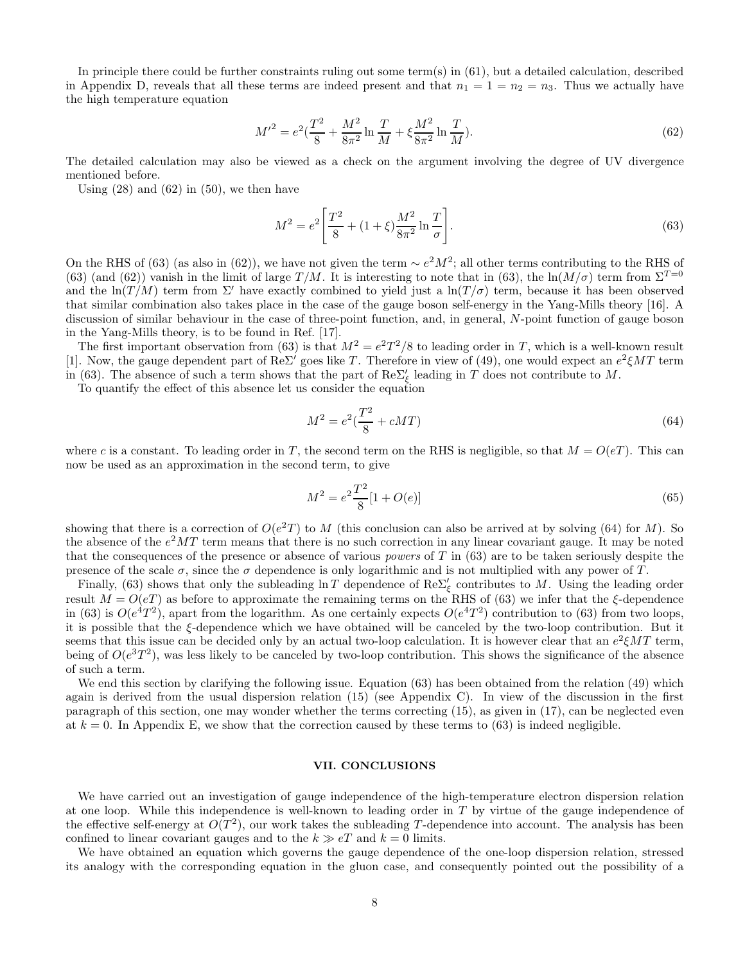In principle there could be further constraints ruling out some term(s) in (61), but a detailed calculation, described in Appendix D, reveals that all these terms are indeed present and that  $n_1 = 1 = n_2 = n_3$ . Thus we actually have the high temperature equation

$$
M'^{2} = e^{2} \left(\frac{T^{2}}{8} + \frac{M^{2}}{8\pi^{2}}\ln\frac{T}{M} + \xi\frac{M^{2}}{8\pi^{2}}\ln\frac{T}{M}\right).
$$
\n(62)

The detailed calculation may also be viewed as a check on the argument involving the degree of UV divergence mentioned before.

Using  $(28)$  and  $(62)$  in  $(50)$ , we then have

$$
M^{2} = e^{2} \left[ \frac{T^{2}}{8} + (1+\xi) \frac{M^{2}}{8\pi^{2}} \ln \frac{T}{\sigma} \right].
$$
 (63)

On the RHS of (63) (as also in (62)), we have not given the term ∼  $e^2M^2$ ; all other terms contributing to the RHS of (63) (and (62)) vanish in the limit of large  $T/M$ . It is interesting to note that in (63), the ln $(M/\sigma)$  term from  $\Sigma^{T=0}$ and the ln(T/M) term from  $\Sigma'$  have exactly combined to yield just a ln(T/ $\sigma$ ) term, because it has been observed that similar combination also takes place in the case of the gauge boson self-energy in the Yang-Mills theory [16]. A discussion of similar behaviour in the case of three-point function, and, in general, N-point function of gauge boson in the Yang-Mills theory, is to be found in Ref. [17].

The first important observation from (63) is that  $M^2 = e^2T^2/8$  to leading order in T, which is a well-known result [1]. Now, the gauge dependent part of Re $\Sigma'$  goes like T. Therefore in view of (49), one would expect an  $e^2 \xi MT$  term in (63). The absence of such a term shows that the part of  $\text{Re}\Sigma_{\xi}^{\prime}$  leading in T does not contribute to M.

To quantify the effect of this absence let us consider the equation

$$
M^2 = e^2(\frac{T^2}{8} + cMT) \tag{64}
$$

where c is a constant. To leading order in T, the second term on the RHS is negligible, so that  $M = O(eT)$ . This can now be used as an approximation in the second term, to give

$$
M^2 = e^2 \frac{T^2}{8} [1 + O(e)] \tag{65}
$$

showing that there is a correction of  $O(e^2T)$  to M (this conclusion can also be arrived at by solving (64) for M). So the absence of the  $e^2MT$  term means that there is no such correction in any linear covariant gauge. It may be noted that the consequences of the presence or absence of various *powers* of  $T$  in (63) are to be taken seriously despite the presence of the scale  $\sigma$ , since the  $\sigma$  dependence is only logarithmic and is not multiplied with any power of T.

Finally, (63) shows that only the subleading  $\ln T$  dependence of  $\text{Re}\Sigma_{\xi}^{\prime}$  contributes to M. Using the leading order result  $M = O(eT)$  as before to approximate the remaining terms on the RHS of (63) we infer that the  $\xi$ -dependence in (63) is  $O(e^{4}T^{2})$ , apart from the logarithm. As one certainly expects  $O(e^{4}T^{2})$  contribution to (63) from two loops, it is possible that the ξ-dependence which we have obtained will be canceled by the two-loop contribution. But it seems that this issue can be decided only by an actual two-loop calculation. It is however clear that an  $e^2 \xi MT$  term, being of  $O(e^{3}T^{2})$ , was less likely to be canceled by two-loop contribution. This shows the significance of the absence of such a term.

We end this section by clarifying the following issue. Equation (63) has been obtained from the relation (49) which again is derived from the usual dispersion relation (15) (see Appendix C). In view of the discussion in the first paragraph of this section, one may wonder whether the terms correcting (15), as given in (17), can be neglected even at  $k = 0$ . In Appendix E, we show that the correction caused by these terms to (63) is indeed negligible.

## VII. CONCLUSIONS

We have carried out an investigation of gauge independence of the high-temperature electron dispersion relation at one loop. While this independence is well-known to leading order in T by virtue of the gauge independence of the effective self-energy at  $O(T^2)$ , our work takes the subleading T-dependence into account. The analysis has been confined to linear covariant gauges and to the  $k \gg eT$  and  $k = 0$  limits.

We have obtained an equation which governs the gauge dependence of the one-loop dispersion relation, stressed its analogy with the corresponding equation in the gluon case, and consequently pointed out the possibility of a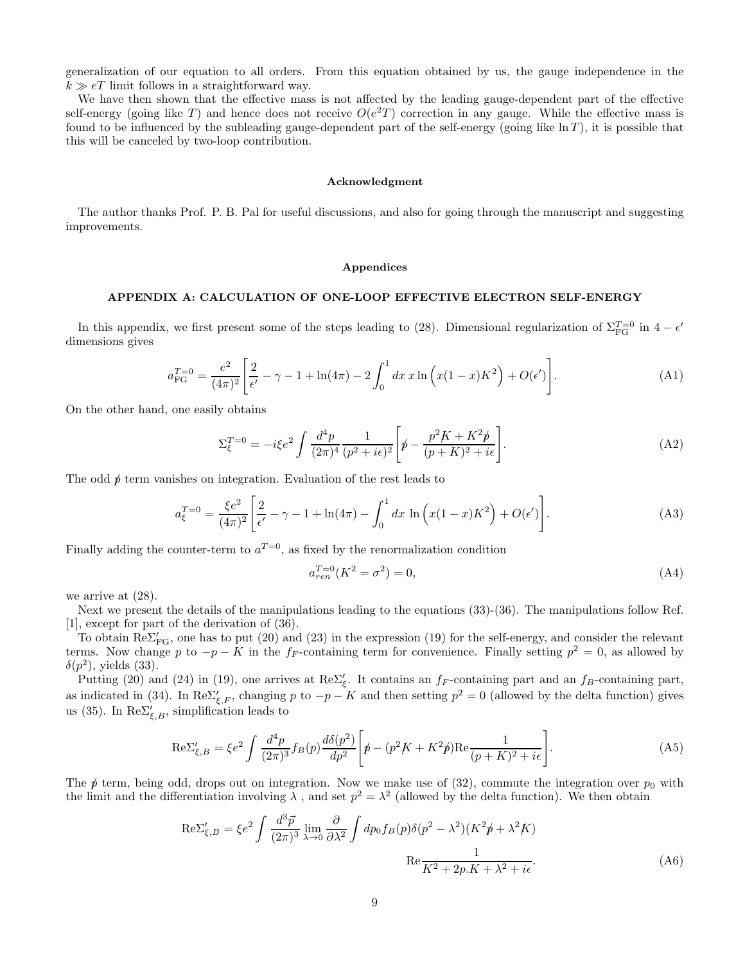generalization of our equation to all orders. From this equation obtained by us, the gauge independence in the  $k \gg eT$  limit follows in a straightforward way.

We have then shown that the effective mass is not affected by the leading gauge-dependent part of the effective self-energy (going like T) and hence does not receive  $O(e^2T)$  correction in any gauge. While the effective mass is found to be influenced by the subleading gauge-dependent part of the self-energy (going like  $\ln T$ ), it is possible that this will be canceled by two-loop contribution.

#### Acknowledgment

The author thanks Prof. P. B. Pal for useful discussions, and also for going through the manuscript and suggesting improvements.

#### Appendices

### APPENDIX A: CALCULATION OF ONE-LOOP EFFECTIVE ELECTRON SELF-ENERGY

In this appendix, we first present some of the steps leading to (28). Dimensional regularization of  $\Sigma_{FG}^{T=0}$  in  $4-\epsilon'$ dimensions gives

$$
a_{\rm FG}^{T=0} = \frac{e^2}{(4\pi)^2} \left[ \frac{2}{\epsilon'} - \gamma - 1 + \ln(4\pi) - 2 \int_0^1 dx \, x \ln\left(x(1-x)K^2\right) + O(\epsilon') \right]. \tag{A1}
$$

On the other hand, one easily obtains

$$
\Sigma_{\xi}^{T=0} = -i\xi e^2 \int \frac{d^4 p}{(2\pi)^4} \frac{1}{(p^2 + i\epsilon)^2} \left[ p - \frac{p^2 K + K^2 p}{(p + K)^2 + i\epsilon} \right]. \tag{A2}
$$

The odd  $\phi$  term vanishes on integration. Evaluation of the rest leads to

$$
a_{\xi}^{T=0} = \frac{\xi e^2}{(4\pi)^2} \left[ \frac{2}{\epsilon'} - \gamma - 1 + \ln(4\pi) - \int_0^1 dx \, \ln\left(x(1-x)K^2\right) + O(\epsilon') \right].
$$
 (A3)

Finally adding the counter-term to  $a^{T=0}$ , as fixed by the renormalization condition

$$
a_{ren}^{T=0}(K^2 = \sigma^2) = 0,\t\t(A4)
$$

we arrive at (28).

Next we present the details of the manipulations leading to the equations (33)-(36). The manipulations follow Ref. [1], except for part of the derivation of (36).

To obtain  $\text{Re}\Sigma'_{\text{FG}}$ , one has to put (20) and (23) in the expression (19) for the self-energy, and consider the relevant terms. Now change p to  $-p - K$  in the f<sub>F</sub>-containing term for convenience. Finally setting  $p^2 = 0$ , as allowed by  $\delta(p^2)$ , yields (33).

Putting (20) and (24) in (19), one arrives at Re $\Sigma'_{\xi}$ . It contains an f<sub>F</sub>-containing part and an f<sub>B</sub>-containing part, as indicated in (34). In  $\text{Re}\Sigma'_{\xi,F}$ , changing p to  $-p-K$  and then setting  $p^2=0$  (allowed by the delta function) gives us (35). In  $\text{Re}\Sigma'_{\xi,B}$ , simplification leads to

$$
\text{Re}\Sigma'_{\xi,B} = \xi e^2 \int \frac{d^4p}{(2\pi)^3} f_B(p) \frac{d\delta(p^2)}{dp^2} \left[ p - (p^2 K + K^2 p) \text{Re} \frac{1}{(p+K)^2 + i\epsilon} \right]. \tag{A5}
$$

The  $\rlap{/}p$  term, being odd, drops out on integration. Now we make use of (32), commute the integration over  $p_0$  with the limit and the differentiation involving  $\lambda$ , and set  $p^2 = \lambda^2$  (allowed by the delta function). We then obtain

$$
\text{Re}\Sigma'_{\xi,B} = \xi e^2 \int \frac{d^3 \vec{p}}{(2\pi)^3} \lim_{\lambda \to 0} \frac{\partial}{\partial \lambda^2} \int dp_0 f_B(p) \delta(p^2 - \lambda^2) (K^2 \vec{p} + \lambda^2 K)
$$
  
Re  $\frac{1}{K^2 + 2p.K + \lambda^2 + i\epsilon}$  (A6)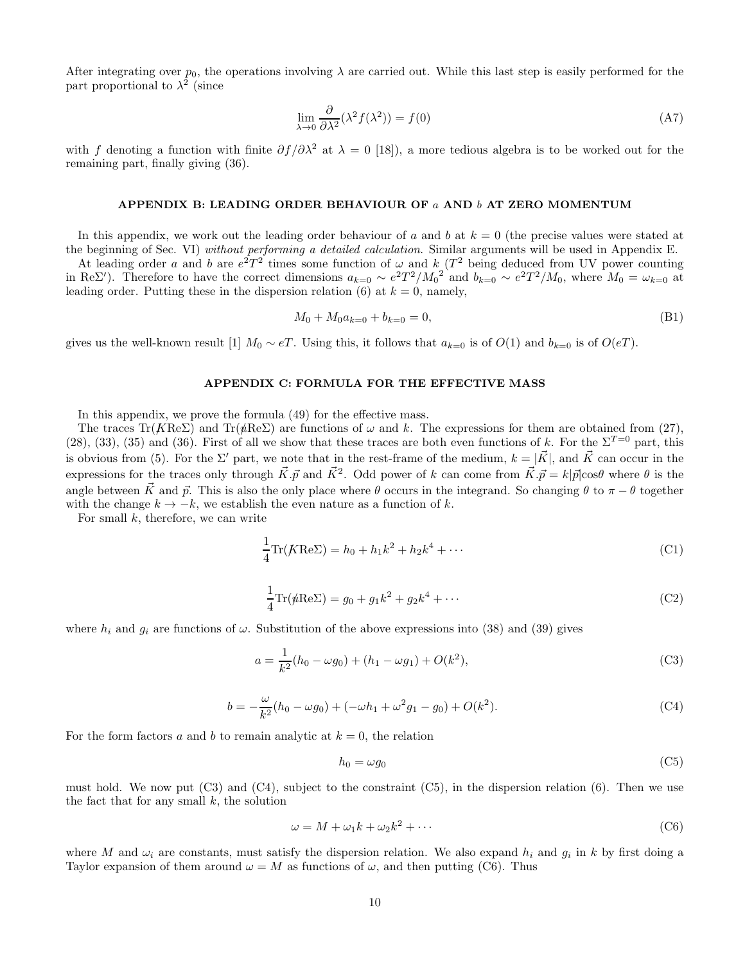After integrating over  $p_0$ , the operations involving  $\lambda$  are carried out. While this last step is easily performed for the part proportional to  $\lambda^2$  (since

$$
\lim_{\lambda \to 0} \frac{\partial}{\partial \lambda^2} (\lambda^2 f(\lambda^2)) = f(0)
$$
\n(A7)

with f denoting a function with finite  $\partial f/\partial \lambda^2$  at  $\lambda = 0$  [18]), a more tedious algebra is to be worked out for the remaining part, finally giving (36).

#### APPENDIX B: LEADING ORDER BEHAVIOUR OF a AND b AT ZERO MOMENTUM

In this appendix, we work out the leading order behaviour of a and b at  $k = 0$  (the precise values were stated at the beginning of Sec. VI) without performing a detailed calculation. Similar arguments will be used in Appendix E.

At leading order a and b are  $e^2T^2$  times some function of  $\omega$  and k (T<sup>2</sup> being deduced from UV power counting in ReΣ'). Therefore to have the correct dimensions  $a_{k=0} \sim e^2 T^2 / M_0^2$  and  $b_{k=0} \sim e^2 T^2 / M_0$ , where  $M_0 = \omega_{k=0}$  at leading order. Putting these in the dispersion relation (6) at  $k = 0$ , namely,

$$
M_0 + M_0 a_{k=0} + b_{k=0} = 0,
$$
\n(B1)

gives us the well-known result [1]  $M_0 \sim eT$ . Using this, it follows that  $a_{k=0}$  is of  $O(1)$  and  $b_{k=0}$  is of  $O(eT)$ .

### APPENDIX C: FORMULA FOR THE EFFECTIVE MASS

In this appendix, we prove the formula (49) for the effective mass.

The traces Tr( $K$ Re $\Sigma$ ) and Tr( $\psi$ Re $\Sigma$ ) are functions of  $\omega$  and k. The expressions for them are obtained from (27), (28), (33), (35) and (36). First of all we show that these traces are both even functions of k. For the  $\Sigma^{T=0}$  part, this is obvious from (5). For the  $\Sigma'$  part, we note that in the rest-frame of the medium,  $k = |\vec{K}|$ , and  $\vec{K}$  can occur in the expressions for the traces only through  $\vec{K} \cdot \vec{p}$  and  $\vec{K}^2$ . Odd power of k can come from  $\vec{K} \cdot \vec{p} = k|\vec{p}|\cos\theta$  where  $\theta$  is the angle between  $\vec{K}$  and  $\vec{p}$ . This is also the only place where  $\theta$  occurs in the integrand. So changing  $\theta$  to  $\pi - \theta$  together with the change  $k \to -k$ , we establish the even nature as a function of k.

For small  $k$ , therefore, we can write

$$
\frac{1}{4}\text{Tr}(K\text{Re}\Sigma) = h_0 + h_1k^2 + h_2k^4 + \cdots
$$
 (C1)

$$
\frac{1}{4}\text{Tr}(\hat{\mu}\text{Re}\Sigma) = g_0 + g_1k^2 + g_2k^4 + \cdots
$$
 (C2)

where  $h_i$  and  $g_i$  are functions of  $\omega$ . Substitution of the above expressions into (38) and (39) gives

$$
a = \frac{1}{k^2}(h_0 - \omega g_0) + (h_1 - \omega g_1) + O(k^2),
$$
\n(C3)

$$
b = -\frac{\omega}{k^2}(h_0 - \omega g_0) + (-\omega h_1 + \omega^2 g_1 - g_0) + O(k^2).
$$
 (C4)

For the form factors a and b to remain analytic at  $k = 0$ , the relation

$$
h_0 = \omega g_0 \tag{C5}
$$

must hold. We now put  $(C3)$  and  $(C4)$ , subject to the constraint  $(C5)$ , in the dispersion relation  $(6)$ . Then we use the fact that for any small  $k$ , the solution

$$
\omega = M + \omega_1 k + \omega_2 k^2 + \cdots \tag{C6}
$$

where M and  $\omega_i$  are constants, must satisfy the dispersion relation. We also expand  $h_i$  and  $g_i$  in k by first doing a Taylor expansion of them around  $\omega = M$  as functions of  $\omega$ , and then putting (C6). Thus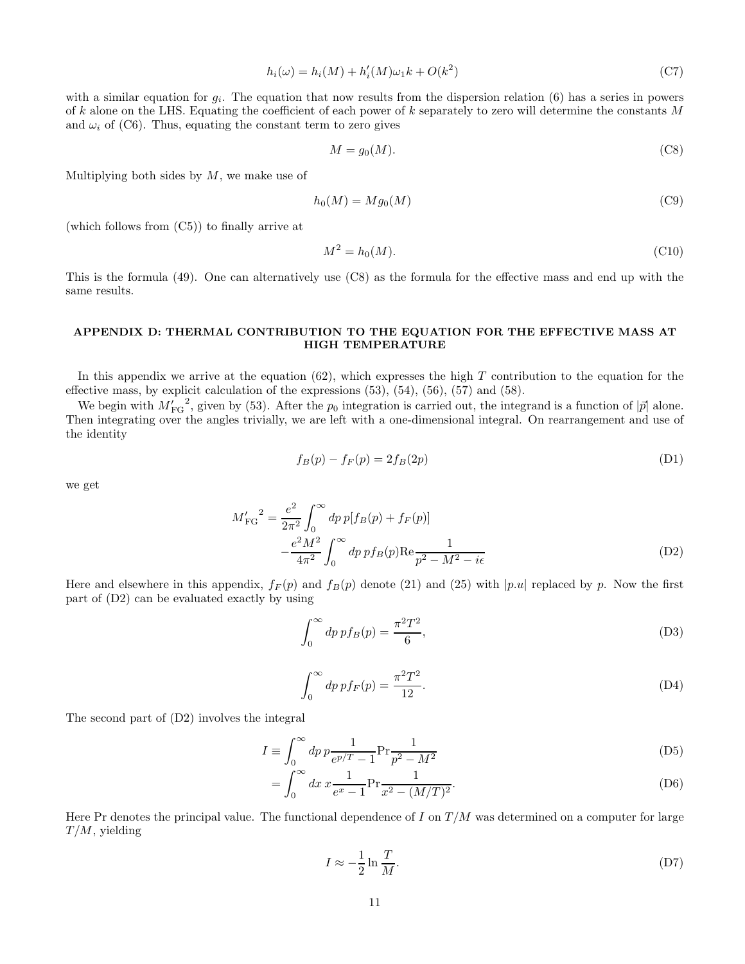$$
h_i(\omega) = h_i(M) + h'_i(M)\omega_1 k + O(k^2)
$$
\n<sup>(C7)</sup>

with a similar equation for  $g_i$ . The equation that now results from the dispersion relation (6) has a series in powers of k alone on the LHS. Equating the coefficient of each power of k separately to zero will determine the constants M and  $\omega_i$  of (C6). Thus, equating the constant term to zero gives

$$
M = g_0(M). \tag{C8}
$$

Multiplying both sides by  $M$ , we make use of

$$
h_0(M) = Mg_0(M) \tag{C9}
$$

(which follows from (C5)) to finally arrive at

$$
M^2 = h_0(M). \tag{C10}
$$

This is the formula (49). One can alternatively use (C8) as the formula for the effective mass and end up with the same results.

# APPENDIX D: THERMAL CONTRIBUTION TO THE EQUATION FOR THE EFFECTIVE MASS AT HIGH TEMPERATURE

In this appendix we arrive at the equation  $(62)$ , which expresses the high T contribution to the equation for the effective mass, by explicit calculation of the expressions (53), (54), (56), (57) and (58).

We begin with  $M'_{\text{FG}}^2$ , given by (53). After the  $p_0$  integration is carried out, the integrand is a function of  $|\vec{p}|$  alone. Then integrating over the angles trivially, we are left with a one-dimensional integral. On rearrangement and use of the identity

$$
f_B(p) - f_F(p) = 2f_B(2p)
$$
 (D1)

we get

$$
M'_{\text{FG}}^2 = \frac{e^2}{2\pi^2} \int_0^\infty dp \, p[f_B(p) + f_F(p)]
$$
  

$$
-\frac{e^2 M^2}{4\pi^2} \int_0^\infty dp \, p f_B(p) \text{Re} \frac{1}{p^2 - M^2 - i\epsilon}
$$
 (D2)

Here and elsewhere in this appendix,  $f_F(p)$  and  $f_B(p)$  denote (21) and (25) with |p.u| replaced by p. Now the first part of (D2) can be evaluated exactly by using

$$
\int_0^\infty dp \, pf_B(p) = \frac{\pi^2 T^2}{6},\tag{D3}
$$

$$
\int_0^\infty dp \, pf_F(p) = \frac{\pi^2 T^2}{12}.
$$
\n(D4)

The second part of (D2) involves the integral

$$
I \equiv \int_0^\infty dp \, p \frac{1}{e^{p/T} - 1} \Pr \frac{1}{p^2 - M^2}
$$
 (D5)

$$
= \int_0^\infty dx \, x \frac{1}{e^x - 1} \Pr \frac{1}{x^2 - (M/T)^2}.
$$
 (D6)

Here Pr denotes the principal value. The functional dependence of I on  $T/M$  was determined on a computer for large  $T/M$ , yielding

$$
I \approx -\frac{1}{2} \ln \frac{T}{M}.\tag{D7}
$$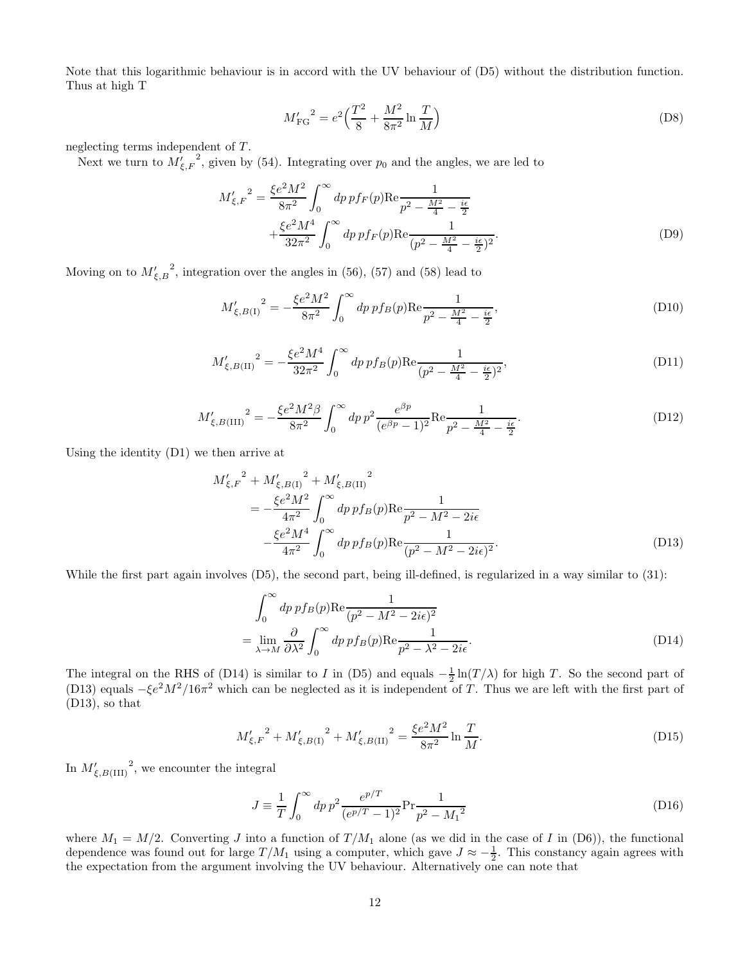Note that this logarithmic behaviour is in accord with the UV behaviour of (D5) without the distribution function. Thus at high T

$$
M'_{\rm FG}^2 = e^2 \left(\frac{T^2}{8} + \frac{M^2}{8\pi^2} \ln \frac{T}{M}\right)
$$
 (D8)

neglecting terms independent of T.

Next we turn to  $M'_{\xi, F}$ <sup>2</sup>, given by (54). Integrating over  $p_0$  and the angles, we are led to

$$
M'_{\xi,F}^2 = \frac{\xi e^2 M^2}{8\pi^2} \int_0^\infty dp \, p f_F(p) \text{Re} \frac{1}{p^2 - \frac{M^2}{4} - \frac{i\epsilon}{2}} + \frac{\xi e^2 M^4}{32\pi^2} \int_0^\infty dp \, p f_F(p) \text{Re} \frac{1}{(p^2 - \frac{M^2}{4} - \frac{i\epsilon}{2})^2}.
$$
\n(D9)

Moving on to  $M'_{\xi,B}^2$ , integration over the angles in (56), (57) and (58) lead to

$$
M'_{\xi,B(1)}^2 = -\frac{\xi e^2 M^2}{8\pi^2} \int_0^\infty dp \, p f_B(p) \text{Re} \frac{1}{p^2 - \frac{M^2}{4} - \frac{i\epsilon}{2}},\tag{D10}
$$

$$
M'_{\xi,B(II)}^2 = -\frac{\xi e^2 M^4}{32\pi^2} \int_0^\infty dp \, p f_B(p) \text{Re} \frac{1}{(p^2 - \frac{M^2}{4} - \frac{i\epsilon}{2})^2},\tag{D11}
$$

$$
M'_{\xi,B(III)}^2 = -\frac{\xi e^2 M^2 \beta}{8\pi^2} \int_0^\infty dp \, p^2 \frac{e^{\beta p}}{(e^{\beta p} - 1)^2} \text{Re} \frac{1}{p^2 - \frac{M^2}{4} - \frac{i\epsilon}{2}}.
$$
 (D12)

Using the identity (D1) we then arrive at

$$
M'_{\xi,F}^2 + M'_{\xi,B(1)}^2 + M'_{\xi,B(1)}^2
$$
  
= 
$$
-\frac{\xi e^2 M^2}{4\pi^2} \int_0^\infty dp \, p f_B(p) \text{Re} \frac{1}{p^2 - M^2 - 2i\epsilon}
$$
  

$$
-\frac{\xi e^2 M^4}{4\pi^2} \int_0^\infty dp \, p f_B(p) \text{Re} \frac{1}{(p^2 - M^2 - 2i\epsilon)^2}.
$$
 (D13)

While the first part again involves (D5), the second part, being ill-defined, is regularized in a way similar to (31):

$$
\int_0^\infty dp \, p f_B(p) \text{Re} \frac{1}{(p^2 - M^2 - 2i\epsilon)^2}
$$
  
= 
$$
\lim_{\lambda \to M} \frac{\partial}{\partial \lambda^2} \int_0^\infty dp \, p f_B(p) \text{Re} \frac{1}{p^2 - \lambda^2 - 2i\epsilon}.
$$
 (D14)

The integral on the RHS of (D14) is similar to I in (D5) and equals  $-\frac{1}{2}\ln(T/\lambda)$  for high T. So the second part of (D13) equals  $-\xi e^2 M^2/16\pi^2$  which can be neglected as it is independent of T. Thus we are left with the first part of (D13), so that

$$
M'_{\xi,F}^2 + M'_{\xi,B(1)}^2 + M'_{\xi,B(1)}^2 = \frac{\xi e^2 M^2}{8\pi^2} \ln \frac{T}{M}.
$$
 (D15)

In  $M'_{\xi,B(\text{III})}$ <sup>2</sup>, we encounter the integral

$$
J \equiv \frac{1}{T} \int_0^\infty dp \, p^2 \frac{e^{p/T}}{(e^{p/T} - 1)^2} \text{Pr} \frac{1}{p^2 - M_1^2}
$$
\n(D16)

where  $M_1 = M/2$ . Converting J into a function of  $T/M_1$  alone (as we did in the case of I in (D6)), the functional dependence was found out for large  $T/M_1$  using a computer, which gave  $J \approx -\frac{1}{2}$ . This constancy again agrees with the expectation from the argument involving the UV behaviour. Alternatively one can note that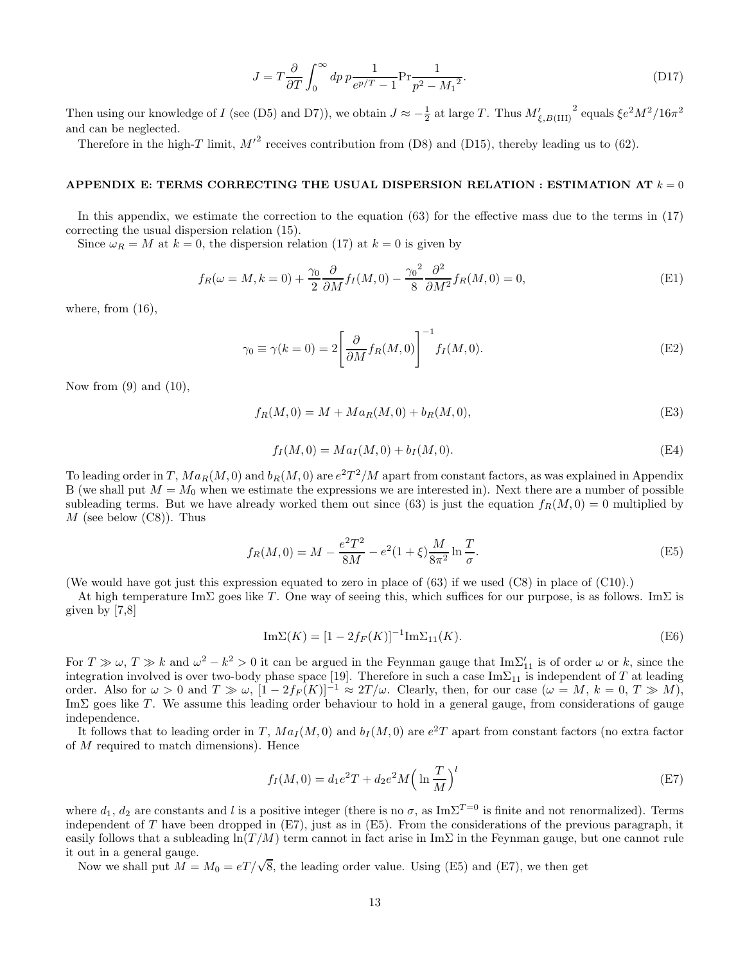$$
J = T \frac{\partial}{\partial T} \int_0^\infty dp \, p \frac{1}{e^{p/T} - 1} \text{Pr} \frac{1}{p^2 - M_1^2}.
$$
 (D17)

Then using our knowledge of I (see (D5) and D7)), we obtain  $J \approx -\frac{1}{2}$  at large T. Thus  $M'_{\xi,B(III)}$ <sup>2</sup> equals  $\xi e^2 M^2/16\pi^2$ and can be neglected.

Therefore in the high-T limit,  $M'^2$  receives contribution from (D8) and (D15), thereby leading us to (62).

### APPENDIX E: TERMS CORRECTING THE USUAL DISPERSION RELATION : ESTIMATION AT  $k = 0$

In this appendix, we estimate the correction to the equation (63) for the effective mass due to the terms in (17) correcting the usual dispersion relation (15).

Since  $\omega_R = M$  at  $k = 0$ , the dispersion relation (17) at  $k = 0$  is given by

$$
f_R(\omega = M, k = 0) + \frac{\gamma_0}{2} \frac{\partial}{\partial M} f_I(M, 0) - \frac{\gamma_0^2}{8} \frac{\partial^2}{\partial M^2} f_R(M, 0) = 0,
$$
 (E1)

where, from  $(16)$ ,

$$
\gamma_0 \equiv \gamma(k=0) = 2 \left[ \frac{\partial}{\partial M} f_R(M,0) \right]^{-1} f_I(M,0). \tag{E2}
$$

Now from  $(9)$  and  $(10)$ ,

$$
f_R(M,0) = M + Ma_R(M,0) + b_R(M,0),
$$
 (E3)

$$
f_I(M,0) = Ma_I(M,0) + b_I(M,0). \tag{E4}
$$

To leading order in T,  $Ma_R(M, 0)$  and  $b_R(M, 0)$  are  $e^2T^2/M$  apart from constant factors, as was explained in Appendix B (we shall put  $M = M_0$  when we estimate the expressions we are interested in). Next there are a number of possible subleading terms. But we have already worked them out since (63) is just the equation  $f_R(M, 0) = 0$  multiplied by  $M$  (see below  $(C8)$ ). Thus

$$
f_R(M,0) = M - \frac{e^2 T^2}{8M} - e^2 (1+\xi) \frac{M}{8\pi^2} \ln \frac{T}{\sigma}.
$$
 (E5)

(We would have got just this expression equated to zero in place of (63) if we used (C8) in place of (C10).)

At high temperature ImΣ goes like T. One way of seeing this, which suffices for our purpose, is as follows. ImΣ is given by [7,8]

$$
\mathrm{Im}\Sigma(K) = [1 - 2f_F(K)]^{-1}\mathrm{Im}\Sigma_{11}(K). \tag{E6}
$$

For  $T \gg \omega$ ,  $T \gg k$  and  $\omega^2 - k^2 > 0$  it can be argued in the Feynman gauge that  $\text{Im}\Sigma'_{11}$  is of order  $\omega$  or k, since the integration involved is over two-body phase space [19]. Therefore in such a case  $\text{Im}\Sigma_{11}$  is independent of T at leading order. Also for  $\omega > 0$  and  $T \gg \omega$ ,  $[1 - 2f_F(K)]^{-1} \approx 2T/\omega$ . Clearly, then, for our case  $(\omega = M, k = 0, T \gg M)$ , Im $\Sigma$  goes like T. We assume this leading order behaviour to hold in a general gauge, from considerations of gauge independence.

It follows that to leading order in T,  $Ma_I(M, 0)$  and  $b_I(M, 0)$  are  $e^2T$  apart from constant factors (no extra factor of M required to match dimensions). Hence

$$
f_I(M,0) = d_1 e^2 T + d_2 e^2 M \left(\ln \frac{T}{M}\right)^l
$$
 (E7)

where  $d_1, d_2$  are constants and l is a positive integer (there is no  $\sigma$ , as Im $\Sigma^{T=0}$  is finite and not renormalized). Terms independent of  $T$  have been dropped in  $(E7)$ , just as in  $(E5)$ . From the considerations of the previous paragraph, it easily follows that a subleading  $\ln(T/M)$  term cannot in fact arise in ImΣ in the Feynman gauge, but one cannot rule it out in a general gauge.

Now we shall put  $M = M_0 = eT/\sqrt{8}$ , the leading order value. Using (E5) and (E7), we then get